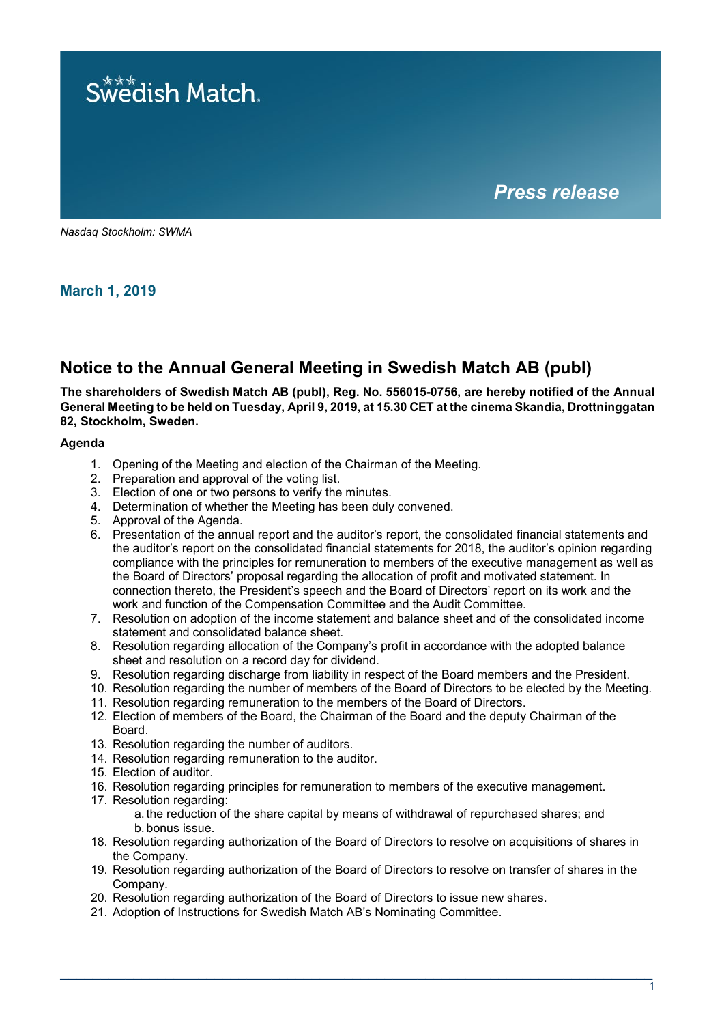

*Nasdaq Stockholm: SWMA*

**March 1, 2019**

# **Notice to the Annual General Meeting in Swedish Match AB (publ)**

**The shareholders of Swedish Match AB (publ), Reg. No. 556015-0756, are hereby notified of the Annual General Meeting to be held on Tuesday, April 9, 2019, at 15.30 CET at the cinema Skandia, Drottninggatan 82, Stockholm, Sweden.**

## **Agenda**

- 1. Opening of the Meeting and election of the Chairman of the Meeting.
- 2. Preparation and approval of the voting list.
- 3. Election of one or two persons to verify the minutes.
- 4. Determination of whether the Meeting has been duly convened.
- 5. Approval of the Agenda.
- 6. Presentation of the annual report and the auditor's report, the consolidated financial statements and the auditor's report on the consolidated financial statements for 2018, the auditor's opinion regarding compliance with the principles for remuneration to members of the executive management as well as the Board of Directors' proposal regarding the allocation of profit and motivated statement. In connection thereto, the President's speech and the Board of Directors' report on its work and the work and function of the Compensation Committee and the Audit Committee.
- 7. Resolution on adoption of the income statement and balance sheet and of the consolidated income statement and consolidated balance sheet.
- 8. Resolution regarding allocation of the Company's profit in accordance with the adopted balance sheet and resolution on a record day for dividend.
- 9. Resolution regarding discharge from liability in respect of the Board members and the President.
- 10. Resolution regarding the number of members of the Board of Directors to be elected by the Meeting.
- 11. Resolution regarding remuneration to the members of the Board of Directors.
- 12. Election of members of the Board, the Chairman of the Board and the deputy Chairman of the Board.
- 13. Resolution regarding the number of auditors.
- 14. Resolution regarding remuneration to the auditor.
- 15. Election of auditor.
- 16. Resolution regarding principles for remuneration to members of the executive management.
- 17. Resolution regarding:
	- a. the reduction of the share capital by means of withdrawal of repurchased shares; and b. bonus issue.
- 18. Resolution regarding authorization of the Board of Directors to resolve on acquisitions of shares in the Company.
- 19. Resolution regarding authorization of the Board of Directors to resolve on transfer of shares in the Company.
- 20. Resolution regarding authorization of the Board of Directors to issue new shares.
- 21. Adoption of Instructions for Swedish Match AB's Nominating Committee.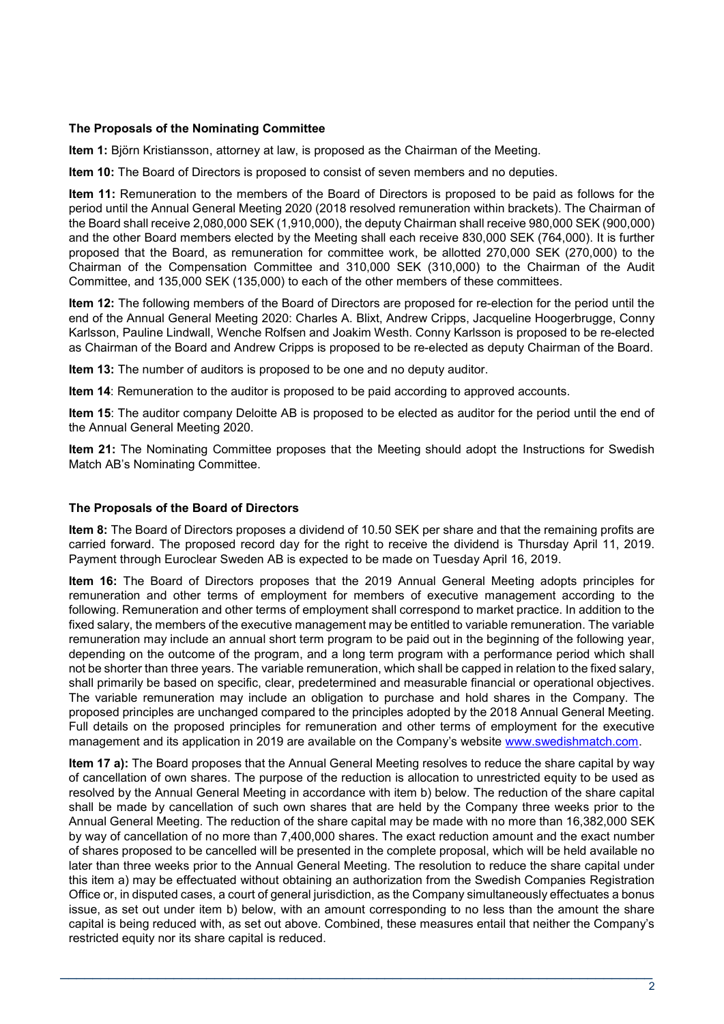## **The Proposals of the Nominating Committee**

**Item 1:** Björn Kristiansson, attorney at law, is proposed as the Chairman of the Meeting.

**Item 10:** The Board of Directors is proposed to consist of seven members and no deputies.

**Item 11:** Remuneration to the members of the Board of Directors is proposed to be paid as follows for the period until the Annual General Meeting 2020 (2018 resolved remuneration within brackets). The Chairman of the Board shall receive 2,080,000 SEK (1,910,000), the deputy Chairman shall receive 980,000 SEK (900,000) and the other Board members elected by the Meeting shall each receive 830,000 SEK (764,000). It is further proposed that the Board, as remuneration for committee work, be allotted 270,000 SEK (270,000) to the Chairman of the Compensation Committee and 310,000 SEK (310,000) to the Chairman of the Audit Committee, and 135,000 SEK (135,000) to each of the other members of these committees.

**Item 12:** The following members of the Board of Directors are proposed for re-election for the period until the end of the Annual General Meeting 2020: Charles A. Blixt, Andrew Cripps, Jacqueline Hoogerbrugge, Conny Karlsson, Pauline Lindwall, Wenche Rolfsen and Joakim Westh. Conny Karlsson is proposed to be re-elected as Chairman of the Board and Andrew Cripps is proposed to be re-elected as deputy Chairman of the Board.

**Item 13:** The number of auditors is proposed to be one and no deputy auditor.

**Item 14**: Remuneration to the auditor is proposed to be paid according to approved accounts.

**Item 15**: The auditor company Deloitte AB is proposed to be elected as auditor for the period until the end of the Annual General Meeting 2020.

**Item 21:** The Nominating Committee proposes that the Meeting should adopt the Instructions for Swedish Match AB's Nominating Committee.

#### **The Proposals of the Board of Directors**

**Item 8:** The Board of Directors proposes a dividend of 10.50 SEK per share and that the remaining profits are carried forward. The proposed record day for the right to receive the dividend is Thursday April 11, 2019. Payment through Euroclear Sweden AB is expected to be made on Tuesday April 16, 2019.

**Item 16:** The Board of Directors proposes that the 2019 Annual General Meeting adopts principles for remuneration and other terms of employment for members of executive management according to the following. Remuneration and other terms of employment shall correspond to market practice. In addition to the fixed salary, the members of the executive management may be entitled to variable remuneration. The variable remuneration may include an annual short term program to be paid out in the beginning of the following year, depending on the outcome of the program, and a long term program with a performance period which shall not be shorter than three years. The variable remuneration, which shall be capped in relation to the fixed salary, shall primarily be based on specific, clear, predetermined and measurable financial or operational objectives. The variable remuneration may include an obligation to purchase and hold shares in the Company. The proposed principles are unchanged compared to the principles adopted by the 2018 Annual General Meeting. Full details on the proposed principles for remuneration and other terms of employment for the executive management and its application in 2019 are available on the Company's website [www.swedishmatch.com.](http://www.swedishmatch.com/)

**Item 17 a):** The Board proposes that the Annual General Meeting resolves to reduce the share capital by way of cancellation of own shares. The purpose of the reduction is allocation to unrestricted equity to be used as resolved by the Annual General Meeting in accordance with item b) below. The reduction of the share capital shall be made by cancellation of such own shares that are held by the Company three weeks prior to the Annual General Meeting. The reduction of the share capital may be made with no more than 16,382,000 SEK by way of cancellation of no more than 7,400,000 shares. The exact reduction amount and the exact number of shares proposed to be cancelled will be presented in the complete proposal, which will be held available no later than three weeks prior to the Annual General Meeting. The resolution to reduce the share capital under this item a) may be effectuated without obtaining an authorization from the Swedish Companies Registration Office or, in disputed cases, a court of general jurisdiction, as the Company simultaneously effectuates a bonus issue, as set out under item b) below, with an amount corresponding to no less than the amount the share capital is being reduced with, as set out above. Combined, these measures entail that neither the Company's restricted equity nor its share capital is reduced.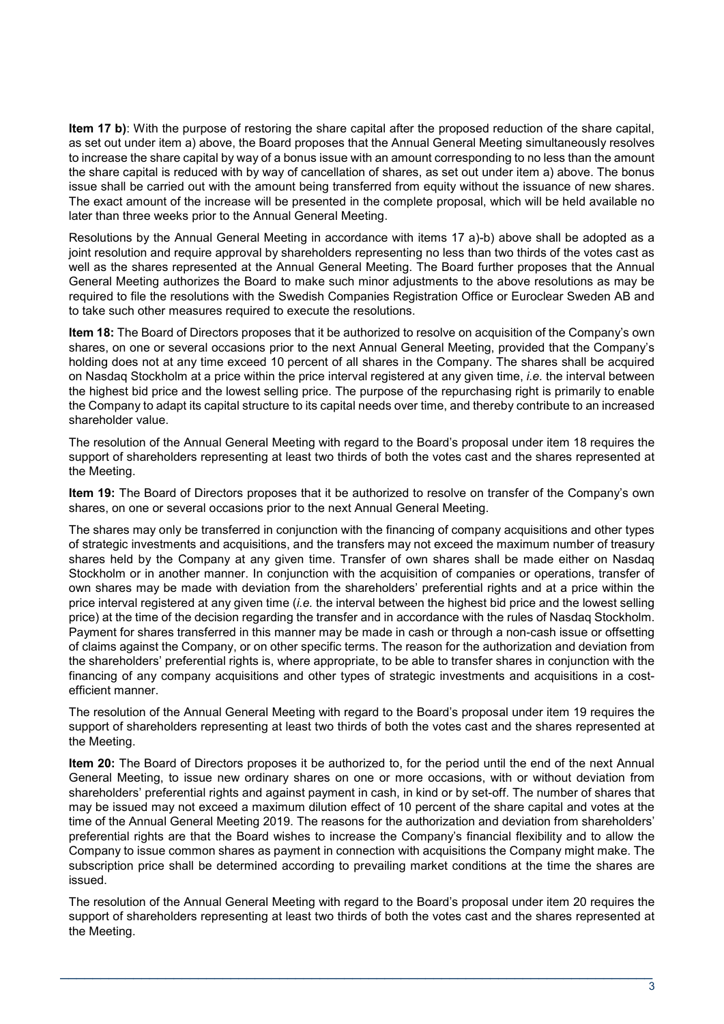**Item 17 b)**: With the purpose of restoring the share capital after the proposed reduction of the share capital, as set out under item a) above, the Board proposes that the Annual General Meeting simultaneously resolves to increase the share capital by way of a bonus issue with an amount corresponding to no less than the amount the share capital is reduced with by way of cancellation of shares, as set out under item a) above. The bonus issue shall be carried out with the amount being transferred from equity without the issuance of new shares. The exact amount of the increase will be presented in the complete proposal, which will be held available no later than three weeks prior to the Annual General Meeting.

Resolutions by the Annual General Meeting in accordance with items 17 a)-b) above shall be adopted as a joint resolution and require approval by shareholders representing no less than two thirds of the votes cast as well as the shares represented at the Annual General Meeting. The Board further proposes that the Annual General Meeting authorizes the Board to make such minor adjustments to the above resolutions as may be required to file the resolutions with the Swedish Companies Registration Office or Euroclear Sweden AB and to take such other measures required to execute the resolutions.

**Item 18:** The Board of Directors proposes that it be authorized to resolve on acquisition of the Company's own shares, on one or several occasions prior to the next Annual General Meeting, provided that the Company's holding does not at any time exceed 10 percent of all shares in the Company. The shares shall be acquired on Nasdaq Stockholm at a price within the price interval registered at any given time, *i.e.* the interval between the highest bid price and the lowest selling price. The purpose of the repurchasing right is primarily to enable the Company to adapt its capital structure to its capital needs over time, and thereby contribute to an increased shareholder value.

The resolution of the Annual General Meeting with regard to the Board's proposal under item 18 requires the support of shareholders representing at least two thirds of both the votes cast and the shares represented at the Meeting.

**Item 19:** The Board of Directors proposes that it be authorized to resolve on transfer of the Company's own shares, on one or several occasions prior to the next Annual General Meeting.

The shares may only be transferred in conjunction with the financing of company acquisitions and other types of strategic investments and acquisitions, and the transfers may not exceed the maximum number of treasury shares held by the Company at any given time. Transfer of own shares shall be made either on Nasdaq Stockholm or in another manner. In conjunction with the acquisition of companies or operations, transfer of own shares may be made with deviation from the shareholders' preferential rights and at a price within the price interval registered at any given time (*i.e.* the interval between the highest bid price and the lowest selling price) at the time of the decision regarding the transfer and in accordance with the rules of Nasdaq Stockholm. Payment for shares transferred in this manner may be made in cash or through a non-cash issue or offsetting of claims against the Company, or on other specific terms. The reason for the authorization and deviation from the shareholders' preferential rights is, where appropriate, to be able to transfer shares in conjunction with the financing of any company acquisitions and other types of strategic investments and acquisitions in a costefficient manner.

The resolution of the Annual General Meeting with regard to the Board's proposal under item 19 requires the support of shareholders representing at least two thirds of both the votes cast and the shares represented at the Meeting.

**Item 20:** The Board of Directors proposes it be authorized to, for the period until the end of the next Annual General Meeting, to issue new ordinary shares on one or more occasions, with or without deviation from shareholders' preferential rights and against payment in cash, in kind or by set-off. The number of shares that may be issued may not exceed a maximum dilution effect of 10 percent of the share capital and votes at the time of the Annual General Meeting 2019. The reasons for the authorization and deviation from shareholders' preferential rights are that the Board wishes to increase the Company's financial flexibility and to allow the Company to issue common shares as payment in connection with acquisitions the Company might make. The subscription price shall be determined according to prevailing market conditions at the time the shares are issued.

The resolution of the Annual General Meeting with regard to the Board's proposal under item 20 requires the support of shareholders representing at least two thirds of both the votes cast and the shares represented at the Meeting.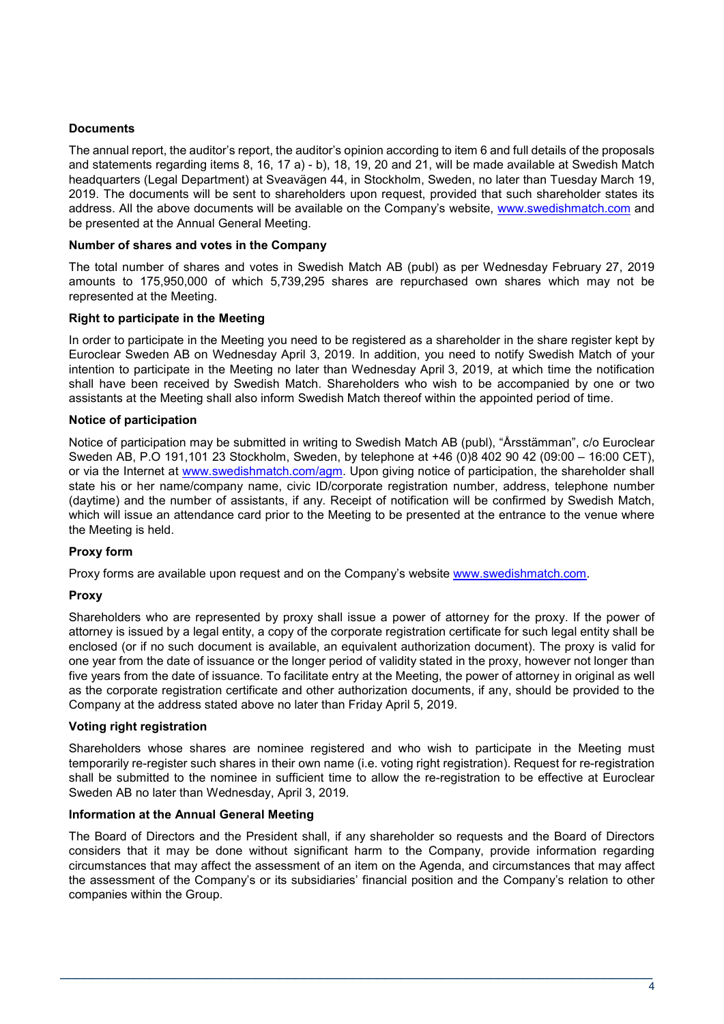# **Documents**

The annual report, the auditor's report, the auditor's opinion according to item 6 and full details of the proposals and statements regarding items 8, 16, 17 a) - b), 18, 19, 20 and 21, will be made available at Swedish Match headquarters (Legal Department) at Sveavägen 44, in Stockholm, Sweden, no later than Tuesday March 19, 2019. The documents will be sent to shareholders upon request, provided that such shareholder states its address. All the above documents will be available on the Company's website, [www.swedishmatch.com](http://www.swedishmatch.com/) and be presented at the Annual General Meeting.

#### **Number of shares and votes in the Company**

The total number of shares and votes in Swedish Match AB (publ) as per Wednesday February 27, 2019 amounts to 175,950,000 of which 5,739,295 shares are repurchased own shares which may not be represented at the Meeting.

## **Right to participate in the Meeting**

In order to participate in the Meeting you need to be registered as a shareholder in the share register kept by Euroclear Sweden AB on Wednesday April 3, 2019. In addition, you need to notify Swedish Match of your intention to participate in the Meeting no later than Wednesday April 3, 2019, at which time the notification shall have been received by Swedish Match. Shareholders who wish to be accompanied by one or two assistants at the Meeting shall also inform Swedish Match thereof within the appointed period of time.

## **Notice of participation**

Notice of participation may be submitted in writing to Swedish Match AB (publ), "Årsstämman", c/o Euroclear Sweden AB, P.O 191,101 23 Stockholm, Sweden, by telephone at +46 (0)8 402 90 42 (09:00 – 16:00 CET), or via the Internet at [www.swedishmatch.com/agm.](http://www.swedishmatch.com/agm) Upon giving notice of participation, the shareholder shall state his or her name/company name, civic ID/corporate registration number, address, telephone number (daytime) and the number of assistants, if any. Receipt of notification will be confirmed by Swedish Match, which will issue an attendance card prior to the Meeting to be presented at the entrance to the venue where the Meeting is held.

# **Proxy form**

Proxy forms are available upon request and on the Company's website [www.swedishmatch.com.](http://www.swedishmatch.com/)

# **Proxy**

Shareholders who are represented by proxy shall issue a power of attorney for the proxy. If the power of attorney is issued by a legal entity, a copy of the corporate registration certificate for such legal entity shall be enclosed (or if no such document is available, an equivalent authorization document). The proxy is valid for one year from the date of issuance or the longer period of validity stated in the proxy, however not longer than five years from the date of issuance. To facilitate entry at the Meeting, the power of attorney in original as well as the corporate registration certificate and other authorization documents, if any, should be provided to the Company at the address stated above no later than Friday April 5, 2019.

#### **Voting right registration**

Shareholders whose shares are nominee registered and who wish to participate in the Meeting must temporarily re-register such shares in their own name (i.e. voting right registration). Request for re-registration shall be submitted to the nominee in sufficient time to allow the re-registration to be effective at Euroclear Sweden AB no later than Wednesday, April 3, 2019.

#### **Information at the Annual General Meeting**

The Board of Directors and the President shall, if any shareholder so requests and the Board of Directors considers that it may be done without significant harm to the Company, provide information regarding circumstances that may affect the assessment of an item on the Agenda, and circumstances that may affect the assessment of the Company's or its subsidiaries' financial position and the Company's relation to other companies within the Group.

 $\overline{\phantom{a}}$  , and the contribution of the contribution of the contribution of the contribution of the contribution of the contribution of the contribution of the contribution of the contribution of the contribution of the